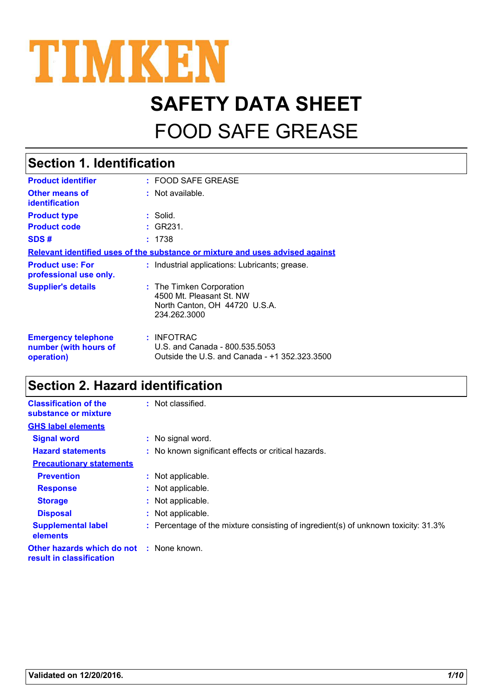

 $\mathsf{r}$ 

# **SAFETY DATA SHEET** FOOD SAFE GREASE

| <b>Section 1. Identification</b>                                  |                                                                                                       |  |
|-------------------------------------------------------------------|-------------------------------------------------------------------------------------------------------|--|
| <b>Product identifier</b>                                         | $: FOOD$ SAFE GREASE                                                                                  |  |
| <b>Other means of</b><br><b>identification</b>                    | $:$ Not available.                                                                                    |  |
| <b>Product type</b>                                               | : Solid.                                                                                              |  |
| <b>Product code</b>                                               | $\div$ GR231.                                                                                         |  |
| SDS#                                                              | : 1738                                                                                                |  |
|                                                                   | Relevant identified uses of the substance or mixture and uses advised against                         |  |
| <b>Product use: For</b><br>professional use only.                 | : Industrial applications: Lubricants; grease.                                                        |  |
| <b>Supplier's details</b>                                         | : The Timken Corporation<br>4500 Mt. Pleasant St. NW<br>North Canton, OH 44720 U.S.A.<br>234.262.3000 |  |
| <b>Emergency telephone</b><br>number (with hours of<br>operation) | $:$ INFOTRAC<br>U.S. and Canada - 800.535.5053<br>Outside the U.S. and Canada - +1 352.323.3500       |  |

### **Section 2. Hazard identification**

| <b>Classification of the</b><br>substance or mixture                        | : Not classified.                                                                  |
|-----------------------------------------------------------------------------|------------------------------------------------------------------------------------|
| <b>GHS label elements</b>                                                   |                                                                                    |
| <b>Signal word</b>                                                          | : No signal word.                                                                  |
| <b>Hazard statements</b>                                                    | : No known significant effects or critical hazards.                                |
| <b>Precautionary statements</b>                                             |                                                                                    |
| <b>Prevention</b>                                                           | : Not applicable.                                                                  |
| <b>Response</b>                                                             | : Not applicable.                                                                  |
| <b>Storage</b>                                                              | : Not applicable.                                                                  |
| <b>Disposal</b>                                                             | : Not applicable.                                                                  |
| <b>Supplemental label</b><br>elements                                       | : Percentage of the mixture consisting of ingredient(s) of unknown toxicity: 31.3% |
| <b>Other hazards which do not : None known.</b><br>result in classification |                                                                                    |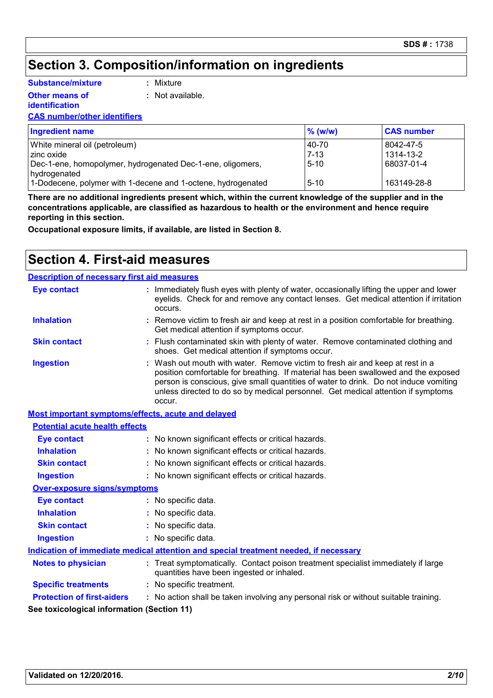### **Section 3. Composition/information on ingredients**

**Substance/mixture**

- **Other means of**
- **:** Mixture
	- **:** Not available.

#### **identification CAS number/other identifiers**

| <b>Ingredient name</b>                                                     | $\%$ (w/w) | <b>CAS number</b> |
|----------------------------------------------------------------------------|------------|-------------------|
| White mineral oil (petroleum)                                              | 40-70      | 8042-47-5         |
| zinc oxide                                                                 | $7 - 13$   | 1314-13-2         |
| Dec-1-ene, homopolymer, hydrogenated Dec-1-ene, oligomers,<br>hydrogenated | $5 - 10$   | 68037-01-4        |
| 1-Dodecene, polymer with 1-decene and 1-octene, hydrogenated               | $5 - 10$   | 163149-28-8       |

**There are no additional ingredients present which, within the current knowledge of the supplier and in the concentrations applicable, are classified as hazardous to health or the environment and hence require reporting in this section.**

**Occupational exposure limits, if available, are listed in Section 8.**

### **Section 4. First-aid measures**

| <b>Description of necessary first aid measures</b> |                                                                                                                                                                                                                                                                                                                                                           |  |
|----------------------------------------------------|-----------------------------------------------------------------------------------------------------------------------------------------------------------------------------------------------------------------------------------------------------------------------------------------------------------------------------------------------------------|--|
| <b>Eye contact</b>                                 | : Immediately flush eyes with plenty of water, occasionally lifting the upper and lower<br>eyelids. Check for and remove any contact lenses. Get medical attention if irritation<br>occurs.                                                                                                                                                               |  |
| <b>Inhalation</b>                                  | : Remove victim to fresh air and keep at rest in a position comfortable for breathing.<br>Get medical attention if symptoms occur.                                                                                                                                                                                                                        |  |
| <b>Skin contact</b>                                | : Flush contaminated skin with plenty of water. Remove contaminated clothing and<br>shoes. Get medical attention if symptoms occur.                                                                                                                                                                                                                       |  |
| <b>Ingestion</b>                                   | : Wash out mouth with water. Remove victim to fresh air and keep at rest in a<br>position comfortable for breathing. If material has been swallowed and the exposed<br>person is conscious, give small quantities of water to drink. Do not induce vomiting<br>unless directed to do so by medical personnel. Get medical attention if symptoms<br>occur. |  |

#### **Most important symptoms/effects, acute and delayed**

| <b>Potential acute health effects</b>                                                |                                                                                                                                |  |
|--------------------------------------------------------------------------------------|--------------------------------------------------------------------------------------------------------------------------------|--|
| Eye contact                                                                          | : No known significant effects or critical hazards.                                                                            |  |
| <b>Inhalation</b>                                                                    | : No known significant effects or critical hazards.                                                                            |  |
| <b>Skin contact</b>                                                                  | : No known significant effects or critical hazards.                                                                            |  |
| <b>Ingestion</b>                                                                     | : No known significant effects or critical hazards.                                                                            |  |
| <b>Over-exposure signs/symptoms</b>                                                  |                                                                                                                                |  |
| Eye contact                                                                          | : No specific data.                                                                                                            |  |
| <b>Inhalation</b>                                                                    | : No specific data.                                                                                                            |  |
| <b>Skin contact</b>                                                                  | : No specific data.                                                                                                            |  |
| <b>Ingestion</b>                                                                     | : No specific data.                                                                                                            |  |
| Indication of immediate medical attention and special treatment needed, if necessary |                                                                                                                                |  |
| <b>Notes to physician</b>                                                            | : Treat symptomatically. Contact poison treatment specialist immediately if large<br>quantities have been ingested or inhaled. |  |
| <b>Specific treatments</b>                                                           | : No specific treatment.                                                                                                       |  |
| <b>Protection of first-aiders</b>                                                    | : No action shall be taken involving any personal risk or without suitable training.                                           |  |
| See toxicological information (Section 11)                                           |                                                                                                                                |  |
|                                                                                      |                                                                                                                                |  |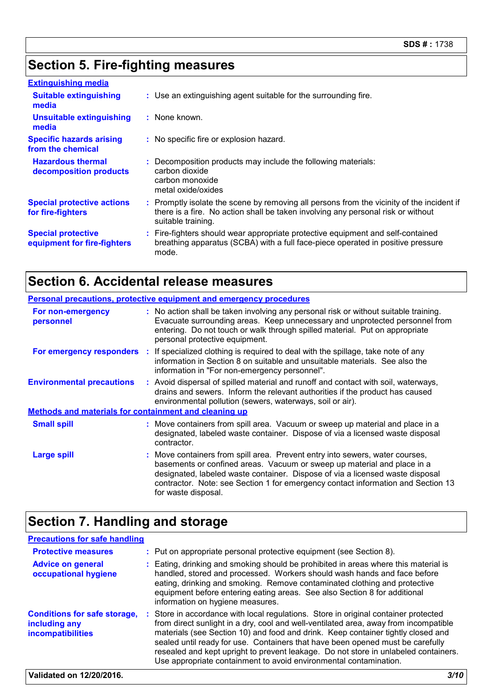# **Section 5. Fire-fighting measures**

| <b>Extinguishing media</b>                               |                                                                                                                                                                                                     |
|----------------------------------------------------------|-----------------------------------------------------------------------------------------------------------------------------------------------------------------------------------------------------|
| <b>Suitable extinguishing</b><br>media                   | : Use an extinguishing agent suitable for the surrounding fire.                                                                                                                                     |
| <b>Unsuitable extinguishing</b><br>media                 | : None known.                                                                                                                                                                                       |
| <b>Specific hazards arising</b><br>from the chemical     | : No specific fire or explosion hazard.                                                                                                                                                             |
| <b>Hazardous thermal</b><br>decomposition products       | : Decomposition products may include the following materials:<br>carbon dioxide<br>carbon monoxide<br>metal oxide/oxides                                                                            |
| <b>Special protective actions</b><br>for fire-fighters   | : Promptly isolate the scene by removing all persons from the vicinity of the incident if<br>there is a fire. No action shall be taken involving any personal risk or without<br>suitable training. |
| <b>Special protective</b><br>equipment for fire-fighters | : Fire-fighters should wear appropriate protective equipment and self-contained<br>breathing apparatus (SCBA) with a full face-piece operated in positive pressure<br>mode.                         |

# **Section 6. Accidental release measures**

|                                                              | <b>Personal precautions, protective equipment and emergency procedures</b>                                                                                                                                                                                                                                                                          |  |  |
|--------------------------------------------------------------|-----------------------------------------------------------------------------------------------------------------------------------------------------------------------------------------------------------------------------------------------------------------------------------------------------------------------------------------------------|--|--|
| For non-emergency<br>personnel                               | : No action shall be taken involving any personal risk or without suitable training.<br>Evacuate surrounding areas. Keep unnecessary and unprotected personnel from<br>entering. Do not touch or walk through spilled material. Put on appropriate<br>personal protective equipment.                                                                |  |  |
|                                                              | <b>For emergency responders</b> : If specialized clothing is required to deal with the spillage, take note of any<br>information in Section 8 on suitable and unsuitable materials. See also the<br>information in "For non-emergency personnel".                                                                                                   |  |  |
| <b>Environmental precautions</b>                             | : Avoid dispersal of spilled material and runoff and contact with soil, waterways,<br>drains and sewers. Inform the relevant authorities if the product has caused<br>environmental pollution (sewers, waterways, soil or air).                                                                                                                     |  |  |
| <b>Methods and materials for containment and cleaning up</b> |                                                                                                                                                                                                                                                                                                                                                     |  |  |
| <b>Small spill</b>                                           | : Move containers from spill area. Vacuum or sweep up material and place in a<br>designated, labeled waste container. Dispose of via a licensed waste disposal<br>contractor.                                                                                                                                                                       |  |  |
| <b>Large spill</b>                                           | : Move containers from spill area. Prevent entry into sewers, water courses,<br>basements or confined areas. Vacuum or sweep up material and place in a<br>designated, labeled waste container. Dispose of via a licensed waste disposal<br>contractor. Note: see Section 1 for emergency contact information and Section 13<br>for waste disposal. |  |  |

# **Section 7. Handling and storage**

| <b>Precautions for safe handling</b>                                             |                                                                                                                                                                                                                                                                                                                                                                                                                                                                                                               |
|----------------------------------------------------------------------------------|---------------------------------------------------------------------------------------------------------------------------------------------------------------------------------------------------------------------------------------------------------------------------------------------------------------------------------------------------------------------------------------------------------------------------------------------------------------------------------------------------------------|
| <b>Protective measures</b>                                                       | : Put on appropriate personal protective equipment (see Section 8).                                                                                                                                                                                                                                                                                                                                                                                                                                           |
| <b>Advice on general</b><br>occupational hygiene                                 | : Eating, drinking and smoking should be prohibited in areas where this material is<br>handled, stored and processed. Workers should wash hands and face before<br>eating, drinking and smoking. Remove contaminated clothing and protective<br>equipment before entering eating areas. See also Section 8 for additional<br>information on hygiene measures.                                                                                                                                                 |
| <b>Conditions for safe storage,</b><br>including any<br><b>incompatibilities</b> | : Store in accordance with local regulations. Store in original container protected<br>from direct sunlight in a dry, cool and well-ventilated area, away from incompatible<br>materials (see Section 10) and food and drink. Keep container tightly closed and<br>sealed until ready for use. Containers that have been opened must be carefully<br>resealed and kept upright to prevent leakage. Do not store in unlabeled containers.<br>Use appropriate containment to avoid environmental contamination. |
| Validated on 12/20/2016.                                                         | 3/10                                                                                                                                                                                                                                                                                                                                                                                                                                                                                                          |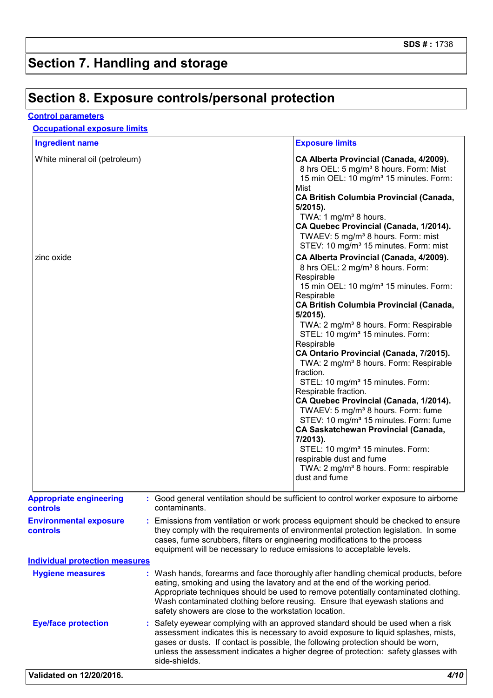## **Section 7. Handling and storage**

# **Section 8. Exposure controls/personal protection**

#### **Control parameters**

#### **Occupational exposure limits**

| <b>Ingredient name</b>                    | <b>Exposure limits</b>                                                                                                                                                                                                                                                                                                                                                                                                                                                                                                                                                                                                                                                                                                                                                                                                                                                                             |
|-------------------------------------------|----------------------------------------------------------------------------------------------------------------------------------------------------------------------------------------------------------------------------------------------------------------------------------------------------------------------------------------------------------------------------------------------------------------------------------------------------------------------------------------------------------------------------------------------------------------------------------------------------------------------------------------------------------------------------------------------------------------------------------------------------------------------------------------------------------------------------------------------------------------------------------------------------|
| White mineral oil (petroleum)             | CA Alberta Provincial (Canada, 4/2009).<br>8 hrs OEL: 5 mg/m <sup>3</sup> 8 hours. Form: Mist<br>15 min OEL: 10 mg/m <sup>3</sup> 15 minutes. Form:<br>Mist<br><b>CA British Columbia Provincial (Canada,</b><br>$5/2015$ ).<br>TWA: 1 mg/m <sup>3</sup> 8 hours.<br>CA Quebec Provincial (Canada, 1/2014).<br>TWAEV: 5 mg/m <sup>3</sup> 8 hours. Form: mist<br>STEV: 10 mg/m <sup>3</sup> 15 minutes. Form: mist                                                                                                                                                                                                                                                                                                                                                                                                                                                                                 |
| zinc oxide                                | CA Alberta Provincial (Canada, 4/2009).<br>8 hrs OEL: 2 mg/m <sup>3</sup> 8 hours. Form:<br>Respirable<br>15 min OEL: 10 mg/m <sup>3</sup> 15 minutes. Form:<br>Respirable<br><b>CA British Columbia Provincial (Canada,</b><br>$5/2015$ ).<br>TWA: 2 mg/m <sup>3</sup> 8 hours. Form: Respirable<br>STEL: 10 mg/m <sup>3</sup> 15 minutes. Form:<br>Respirable<br>CA Ontario Provincial (Canada, 7/2015).<br>TWA: 2 mg/m <sup>3</sup> 8 hours. Form: Respirable<br>fraction.<br>STEL: 10 mg/m <sup>3</sup> 15 minutes. Form:<br>Respirable fraction.<br>CA Quebec Provincial (Canada, 1/2014).<br>TWAEV: 5 mg/m <sup>3</sup> 8 hours. Form: fume<br>STEV: 10 mg/m <sup>3</sup> 15 minutes. Form: fume<br><b>CA Saskatchewan Provincial (Canada,</b><br>7/2013).<br>STEL: 10 mg/m <sup>3</sup> 15 minutes. Form:<br>respirable dust and fume<br>TWA: 2 mg/m <sup>3</sup> 8 hours. Form: respirable |
| <b>Appropriate engineering</b>            | dust and fume<br>: Good general ventilation should be sufficient to control worker exposure to airborne                                                                                                                                                                                                                                                                                                                                                                                                                                                                                                                                                                                                                                                                                                                                                                                            |
| controls                                  | contaminants.                                                                                                                                                                                                                                                                                                                                                                                                                                                                                                                                                                                                                                                                                                                                                                                                                                                                                      |
| <b>Environmental exposure</b><br>controls | Emissions from ventilation or work process equipment should be checked to ensure<br>they comply with the requirements of environmental protection legislation. In some<br>cases, fume scrubbers, filters or engineering modifications to the process<br>equipment will be necessary to reduce emissions to acceptable levels.                                                                                                                                                                                                                                                                                                                                                                                                                                                                                                                                                                      |
| <b>Individual protection measures</b>     |                                                                                                                                                                                                                                                                                                                                                                                                                                                                                                                                                                                                                                                                                                                                                                                                                                                                                                    |
| <b>Hygiene measures</b>                   | : Wash hands, forearms and face thoroughly after handling chemical products, before<br>eating, smoking and using the lavatory and at the end of the working period.<br>Appropriate techniques should be used to remove potentially contaminated clothing.<br>Wash contaminated clothing before reusing. Ensure that eyewash stations and<br>safety showers are close to the workstation location.                                                                                                                                                                                                                                                                                                                                                                                                                                                                                                  |
| <b>Eye/face protection</b>                | Safety eyewear complying with an approved standard should be used when a risk<br>assessment indicates this is necessary to avoid exposure to liquid splashes, mists,<br>gases or dusts. If contact is possible, the following protection should be worn,<br>unless the assessment indicates a higher degree of protection: safety glasses with                                                                                                                                                                                                                                                                                                                                                                                                                                                                                                                                                     |

side-shields.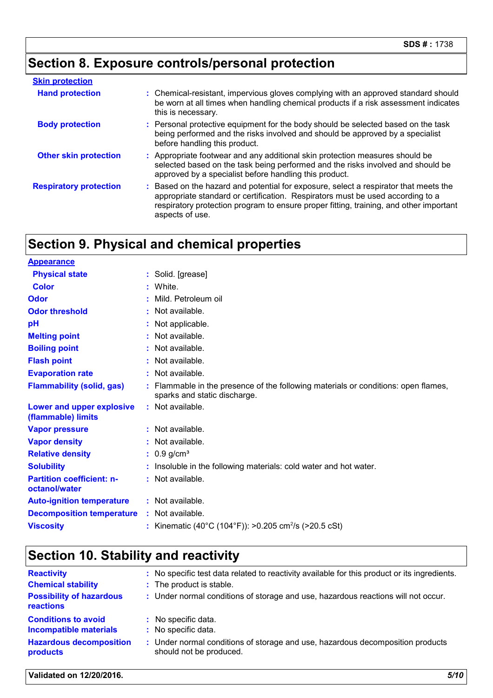# **Section 8. Exposure controls/personal protection**

| <b>Skin protection</b>        |                                                                                                                                                                                                                                                                                   |
|-------------------------------|-----------------------------------------------------------------------------------------------------------------------------------------------------------------------------------------------------------------------------------------------------------------------------------|
| <b>Hand protection</b>        | : Chemical-resistant, impervious gloves complying with an approved standard should<br>be worn at all times when handling chemical products if a risk assessment indicates<br>this is necessary.                                                                                   |
| <b>Body protection</b>        | : Personal protective equipment for the body should be selected based on the task<br>being performed and the risks involved and should be approved by a specialist<br>before handling this product.                                                                               |
| <b>Other skin protection</b>  | : Appropriate footwear and any additional skin protection measures should be<br>selected based on the task being performed and the risks involved and should be<br>approved by a specialist before handling this product.                                                         |
| <b>Respiratory protection</b> | Based on the hazard and potential for exposure, select a respirator that meets the<br>appropriate standard or certification. Respirators must be used according to a<br>respiratory protection program to ensure proper fitting, training, and other important<br>aspects of use. |

# **Section 9. Physical and chemical properties**

| <b>Appearance</b>                                 |                                                                                                                  |
|---------------------------------------------------|------------------------------------------------------------------------------------------------------------------|
| <b>Physical state</b>                             | : Solid. [grease]                                                                                                |
| <b>Color</b>                                      | White.                                                                                                           |
| Odor                                              | Mild. Petroleum oil                                                                                              |
| <b>Odor threshold</b>                             | Not available.                                                                                                   |
| pH                                                | Not applicable.                                                                                                  |
| <b>Melting point</b>                              | Not available.                                                                                                   |
| <b>Boiling point</b>                              | Not available.                                                                                                   |
| <b>Flash point</b>                                | Not available.                                                                                                   |
| <b>Evaporation rate</b>                           | : Not available.                                                                                                 |
| <b>Flammability (solid, gas)</b>                  | Flammable in the presence of the following materials or conditions: open flames,<br>sparks and static discharge. |
| Lower and upper explosive<br>(flammable) limits   | : Not available.                                                                                                 |
| <b>Vapor pressure</b>                             | : Not available.                                                                                                 |
| <b>Vapor density</b>                              | Not available.                                                                                                   |
| <b>Relative density</b>                           | $: 0.9$ g/cm <sup>3</sup>                                                                                        |
| <b>Solubility</b>                                 | Insoluble in the following materials: cold water and hot water.                                                  |
| <b>Partition coefficient: n-</b><br>octanol/water | $:$ Not available.                                                                                               |
| <b>Auto-ignition temperature</b>                  | : Not available.                                                                                                 |
| <b>Decomposition temperature</b>                  | : Not available.                                                                                                 |
| <b>Viscosity</b>                                  | : Kinematic (40°C (104°F)): >0.205 cm <sup>2</sup> /s (>20.5 cSt)                                                |
|                                                   |                                                                                                                  |

# **Section 10. Stability and reactivity**

| <b>Reactivity</b>                                           | : No specific test data related to reactivity available for this product or its ingredients.            |
|-------------------------------------------------------------|---------------------------------------------------------------------------------------------------------|
| <b>Chemical stability</b>                                   | : The product is stable.                                                                                |
| <b>Possibility of hazardous</b><br>reactions                | : Under normal conditions of storage and use, hazardous reactions will not occur.                       |
| <b>Conditions to avoid</b><br><b>Incompatible materials</b> | : No specific data.<br>: No specific data.                                                              |
| <b>Hazardous decomposition</b><br>products                  | Under normal conditions of storage and use, hazardous decomposition products<br>should not be produced. |

**Validated on 12/20/2016.** *5/10*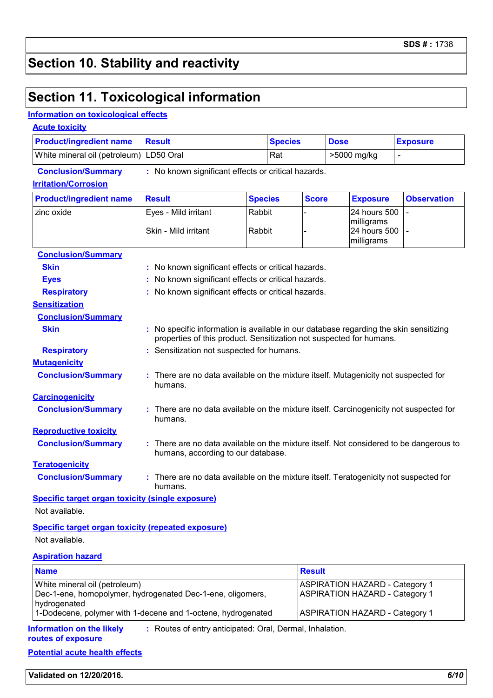### **Section 10. Stability and reactivity**

### **Section 11. Toxicological information**

#### **Information on toxicological effects**

| <b>Acute toxicity</b>                   |               |                |             |                 |
|-----------------------------------------|---------------|----------------|-------------|-----------------|
| <b>Product/ingredient name</b>          | <b>Result</b> | <b>Species</b> | <b>Dose</b> | <b>Exposure</b> |
| White mineral oil (petroleum) LD50 Oral |               | Rat            | >5000 mg/kg |                 |

**Conclusion/Summary :** No known significant effects or critical hazards.

#### **Irritation/Corrosion**

| <b>Product/ingredient name</b> | <b>Result</b>        | <b>Species</b> | <b>Score</b> | <b>Exposure</b>     | <b>Observation</b> |
|--------------------------------|----------------------|----------------|--------------|---------------------|--------------------|
| zinc oxide                     | Eves - Mild irritant | Rabbit         |              | 24 hours 500        |                    |
|                                |                      |                |              | <i>Imilligrams</i>  |                    |
|                                | Skin - Mild irritant | Rabbit         |              | $ 24$ hours 500 $ $ |                    |
|                                |                      |                |              | milligrams          |                    |

| <b>Conclusion/Summary</b>    |                                                                                                                                                            |
|------------------------------|------------------------------------------------------------------------------------------------------------------------------------------------------------|
| <b>Skin</b>                  | No known significant effects or critical hazards.                                                                                                          |
| <b>Eyes</b>                  | No known significant effects or critical hazards.                                                                                                          |
| <b>Respiratory</b>           | No known significant effects or critical hazards.                                                                                                          |
| <b>Sensitization</b>         |                                                                                                                                                            |
| <b>Conclusion/Summary</b>    |                                                                                                                                                            |
| <b>Skin</b>                  | No specific information is available in our database regarding the skin sensitizing<br>properties of this product. Sensitization not suspected for humans. |
| <b>Respiratory</b>           | : Sensitization not suspected for humans.                                                                                                                  |
| <b>Mutagenicity</b>          |                                                                                                                                                            |
| <b>Conclusion/Summary</b>    | There are no data available on the mixture itself. Mutagenicity not suspected for<br>humans.                                                               |
| <b>Carcinogenicity</b>       |                                                                                                                                                            |
| <b>Conclusion/Summary</b>    | : There are no data available on the mixture itself. Carcinogenicity not suspected for<br>humans.                                                          |
| <b>Reproductive toxicity</b> |                                                                                                                                                            |
| <b>Conclusion/Summary</b>    | There are no data available on the mixture itself. Not considered to be dangerous to<br>humans, according to our database.                                 |
| <b>Teratogenicity</b>        |                                                                                                                                                            |
| <b>Conclusion/Summary</b>    | : There are no data available on the mixture itself. Teratogenicity not suspected for<br>humans.                                                           |

**Specific target organ toxicity (single exposure)**

Not available.

**Specific target organ toxicity (repeated exposure)** Not available.

#### **Aspiration hazard**

| <b>Name</b>                                                  | <b>Result</b>                         |
|--------------------------------------------------------------|---------------------------------------|
| White mineral oil (petroleum)                                | <b>ASPIRATION HAZARD - Category 1</b> |
| Dec-1-ene, homopolymer, hydrogenated Dec-1-ene, oligomers,   | <b>ASPIRATION HAZARD - Category 1</b> |
| hydrogenated                                                 |                                       |
| 1-Dodecene, polymer with 1-decene and 1-octene, hydrogenated | <b>ASPIRATION HAZARD - Category 1</b> |
|                                                              |                                       |

**Information on the likely :** Routes of entry anticipated: Oral, Dermal, Inhalation.

**routes of exposure**

**Potential acute health effects**

**Validated on 12/20/2016.** *6/10*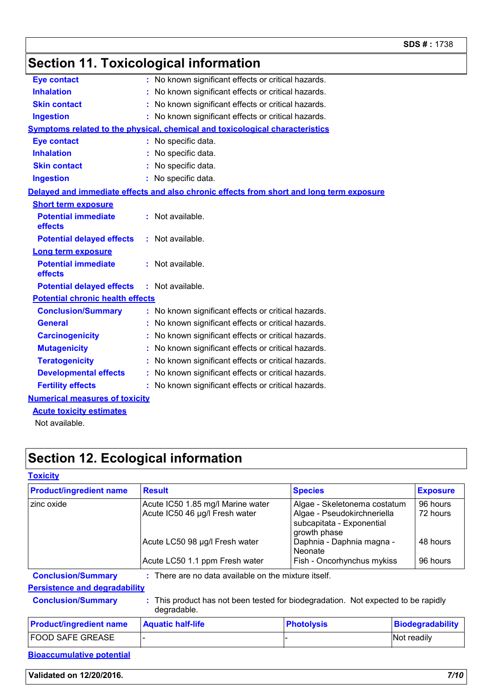# **Section 11. Toxicological information**

| <b>Eye contact</b>                      | : No known significant effects or critical hazards.                                      |
|-----------------------------------------|------------------------------------------------------------------------------------------|
| <b>Inhalation</b>                       | No known significant effects or critical hazards.                                        |
| <b>Skin contact</b>                     | : No known significant effects or critical hazards.                                      |
| <b>Ingestion</b>                        | : No known significant effects or critical hazards.                                      |
|                                         | <b>Symptoms related to the physical, chemical and toxicological characteristics</b>      |
| <b>Eye contact</b>                      | : No specific data.                                                                      |
| <b>Inhalation</b>                       | No specific data.                                                                        |
| <b>Skin contact</b>                     | No specific data.                                                                        |
| <b>Ingestion</b>                        | : No specific data.                                                                      |
|                                         | Delayed and immediate effects and also chronic effects from short and long term exposure |
| <b>Short term exposure</b>              |                                                                                          |
| <b>Potential immediate</b><br>effects   | : Not available.                                                                         |
| <b>Potential delayed effects</b>        | : Not available.                                                                         |
| <b>Long term exposure</b>               |                                                                                          |
| <b>Potential immediate</b><br>effects   | : Not available.                                                                         |
| <b>Potential delayed effects</b>        | $:$ Not available.                                                                       |
| <b>Potential chronic health effects</b> |                                                                                          |
| <b>Conclusion/Summary</b>               | : No known significant effects or critical hazards.                                      |
| <b>General</b>                          | No known significant effects or critical hazards.                                        |
| <b>Carcinogenicity</b>                  | No known significant effects or critical hazards.                                        |
| <b>Mutagenicity</b>                     | : No known significant effects or critical hazards.                                      |
| <b>Teratogenicity</b>                   | No known significant effects or critical hazards.                                        |
| <b>Developmental effects</b>            | : No known significant effects or critical hazards.                                      |
| <b>Fertility effects</b>                | No known significant effects or critical hazards.                                        |
| <b>Numerical measures of toxicity</b>   |                                                                                          |
| <b>Acute toxicity estimates</b>         |                                                                                          |

Not available.

# **Section 12. Ecological information**

| <b>Product/ingredient name</b>       | <b>Result</b>                                                                                  | <b>Species</b>                                                                                           | <b>Exposure</b>         |  |
|--------------------------------------|------------------------------------------------------------------------------------------------|----------------------------------------------------------------------------------------------------------|-------------------------|--|
| zinc oxide                           | Acute IC50 1.85 mg/l Marine water<br>Acute IC50 46 µg/l Fresh water                            | Algae - Skeletonema costatum<br>Algae - Pseudokirchneriella<br>subcapitata - Exponential<br>growth phase |                         |  |
|                                      | Acute LC50 98 µg/l Fresh water                                                                 | Daphnia - Daphnia magna -<br>Neonate                                                                     | 48 hours                |  |
|                                      | Acute LC50 1.1 ppm Fresh water<br>Fish - Oncorhynchus mykiss                                   |                                                                                                          | 96 hours                |  |
| <b>Conclusion/Summary</b>            | There are no data available on the mixture itself.                                             |                                                                                                          |                         |  |
| <b>Persistence and degradability</b> |                                                                                                |                                                                                                          |                         |  |
| <b>Conclusion/Summary</b>            | This product has not been tested for biodegradation. Not expected to be rapidly<br>degradable. |                                                                                                          |                         |  |
| <b>Product/ingredient name</b>       | <b>Aquatic half-life</b>                                                                       | <b>Photolysis</b>                                                                                        | <b>Biodegradability</b> |  |
| <b>FOOD SAFE GREASE</b>              | Not readily                                                                                    |                                                                                                          |                         |  |
|                                      |                                                                                                |                                                                                                          |                         |  |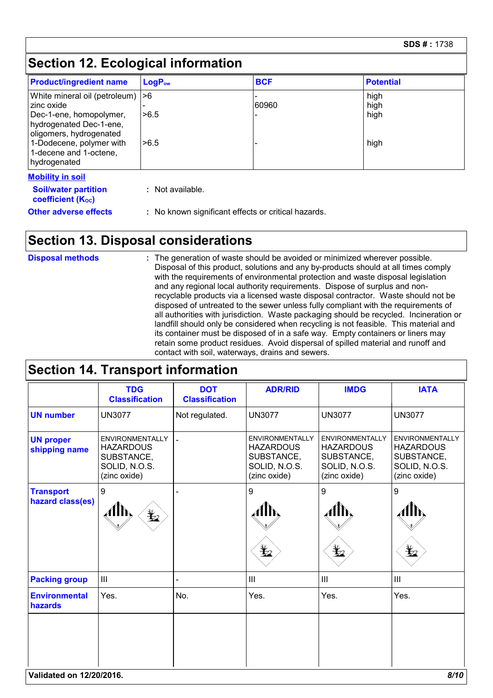# **Section 12. Ecological information**

| <b>Product/ingredient name</b>                                                | $LogP_{ow}$ | <b>BCF</b> | <b>Potential</b> |
|-------------------------------------------------------------------------------|-------------|------------|------------------|
| White mineral oil (petroleum)  >6<br>zinc oxide                               |             | 60960      | high<br>high     |
| Dec-1-ene, homopolymer,<br>hydrogenated Dec-1-ene,<br>oligomers, hydrogenated | >6.5        |            | high             |
| 1-Dodecene, polymer with<br>1-decene and 1-octene,<br>hydrogenated            | >6.5        |            | high             |
| <b>Mobility in soil</b>                                                       |             |            |                  |

| <b>Mobility in soil</b>                               |                                                     |
|-------------------------------------------------------|-----------------------------------------------------|
| <b>Soil/water partition</b><br>coefficient $(K_{oc})$ | : Not available.                                    |
| <b>Other adverse effects</b>                          | : No known significant effects or critical hazards. |

### **Section 13. Disposal considerations**

The generation of waste should be avoided or minimized wherever possible. Disposal of this product, solutions and any by-products should at all times comply with the requirements of environmental protection and waste disposal legislation and any regional local authority requirements. Dispose of surplus and nonrecyclable products via a licensed waste disposal contractor. Waste should not be disposed of untreated to the sewer unless fully compliant with the requirements of all authorities with jurisdiction. Waste packaging should be recycled. Incineration or landfill should only be considered when recycling is not feasible. This material and its container must be disposed of in a safe way. Empty containers or liners may retain some product residues. Avoid dispersal of spilled material and runoff and contact with soil, waterways, drains and sewers. **Disposal methods :**

|                                      | <b>TDG</b><br><b>Classification</b>                                                       | <b>DOT</b><br><b>Classification</b> | <b>ADR/RID</b>                                                                            | <b>IMDG</b>                                                                               | <b>IATA</b>                                                                               |
|--------------------------------------|-------------------------------------------------------------------------------------------|-------------------------------------|-------------------------------------------------------------------------------------------|-------------------------------------------------------------------------------------------|-------------------------------------------------------------------------------------------|
| <b>UN number</b>                     | <b>UN3077</b>                                                                             | Not regulated.                      | <b>UN3077</b>                                                                             | <b>UN3077</b>                                                                             | <b>UN3077</b>                                                                             |
| <b>UN proper</b><br>shipping name    | <b>ENVIRONMENTALLY</b><br><b>HAZARDOUS</b><br>SUBSTANCE,<br>SOLID, N.O.S.<br>(zinc oxide) |                                     | <b>ENVIRONMENTALLY</b><br><b>HAZARDOUS</b><br>SUBSTANCE,<br>SOLID, N.O.S.<br>(zinc oxide) | <b>ENVIRONMENTALLY</b><br><b>HAZARDOUS</b><br>SUBSTANCE,<br>SOLID, N.O.S.<br>(zinc oxide) | <b>ENVIRONMENTALLY</b><br><b>HAZARDOUS</b><br>SUBSTANCE,<br>SOLID, N.O.S.<br>(zinc oxide) |
| <b>Transport</b><br>hazard class(es) | 9<br>¥⊿                                                                                   |                                     | 9<br>Ł.                                                                                   | 9<br>q                                                                                    | 9<br>Ł                                                                                    |
| <b>Packing group</b>                 | $\ensuremath{\mathsf{III}}\xspace$                                                        |                                     | III                                                                                       | $\mathbf{III}$                                                                            | $\mathop{\rm III}$                                                                        |
| <b>Environmental</b><br>hazards      | Yes.                                                                                      | No.                                 | Yes.                                                                                      | Yes.                                                                                      | Yes.                                                                                      |
|                                      |                                                                                           |                                     |                                                                                           |                                                                                           |                                                                                           |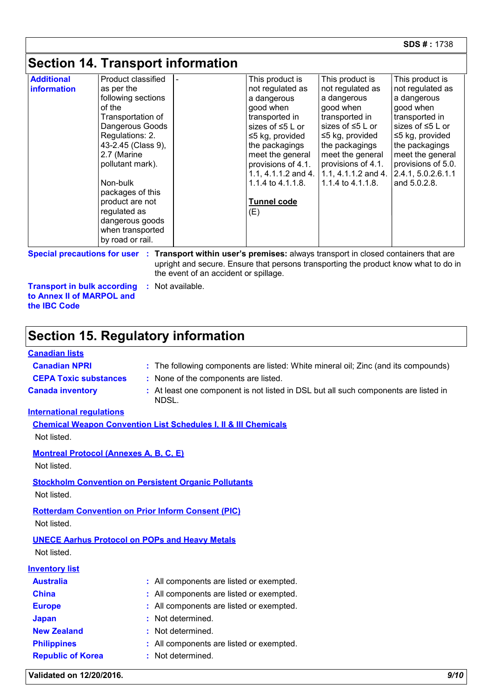**SDS # :** 1738

### **Section 14. Transport information**

| <b>Additional</b> | Product classified | This product is        | This product is        | This product is        |
|-------------------|--------------------|------------------------|------------------------|------------------------|
| information       | as per the         | not regulated as       | not regulated as       | not regulated as       |
|                   | following sections | a dangerous            | a dangerous            | a dangerous            |
|                   | of the             | good when              | good when              | good when              |
|                   | Transportation of  | transported in         | transported in         | transported in         |
|                   | Dangerous Goods    | sizes of $\leq 5$ L or | sizes of $\leq 5$ L or | sizes of $\leq 5$ L or |
|                   | Regulations: 2.    | $\leq$ 5 kg, provided  | $\leq$ 5 kg, provided  | $\leq$ 5 kg, provided  |
|                   | 43-2.45 (Class 9), | the packagings         | the packagings         | the packagings         |
|                   | 2.7 (Marine        | meet the general       | meet the general       | meet the general       |
|                   | pollutant mark).   | provisions of 4.1.     | provisions of 4.1.     | provisions of 5.0.     |
|                   |                    | 1.1, 4.1.1.2 and 4.    | $1.1, 4.1.1.2$ and 4.  | 2.4.1, 5.0.2.6.1.1     |
|                   | Non-bulk           | 1.1.4 to $4.1.1.8$ .   | 1.1.4 to $4.1.1.8$ .   | and 5.0.2.8.           |
|                   | packages of this   |                        |                        |                        |
|                   | product are not    | <b>Tunnel code</b>     |                        |                        |
|                   | regulated as       | (E)                    |                        |                        |
|                   | dangerous goods    |                        |                        |                        |
|                   | when transported   |                        |                        |                        |
|                   | by road or rail.   |                        |                        |                        |

**Special precautions for user**

**Transport within user's premises:** always transport in closed containers that are **:** upright and secure. Ensure that persons transporting the product know what to do in the event of an accident or spillage.

**Transport in bulk according to Annex II of MARPOL and the IBC Code :** Not available.

### **Section 15. Regulatory information**

#### **Canadian lists**

- **Canadian NPRI** : The following components are listed: White mineral oil; Zinc (and its compounds)
- **CEPA Toxic substances :** None of the components are listed.
- 
- **Canada inventory :** At least one component is not listed in DSL but all such components are listed in NDSL.

#### **International regulations**

**Chemical Weapon Convention List Schedules I, II & III Chemicals** Not listed.

**Montreal Protocol (Annexes A, B, C, E)**

Not listed.

**Stockholm Convention on Persistent Organic Pollutants** Not listed.

**Rotterdam Convention on Prior Inform Consent (PIC)** Not listed.

#### **UNECE Aarhus Protocol on POPs and Heavy Metals** Not listed.

### **Inventory list**

| <b>Australia</b>         | : All components are listed or exempted. |
|--------------------------|------------------------------------------|
| <b>China</b>             | : All components are listed or exempted. |
| <b>Europe</b>            | : All components are listed or exempted. |
| Japan                    | : Not determined.                        |
| <b>New Zealand</b>       | : Not determined.                        |
| <b>Philippines</b>       | : All components are listed or exempted. |
| <b>Republic of Korea</b> | : Not determined.                        |

**Validated on 12/20/2016.** *9/10*